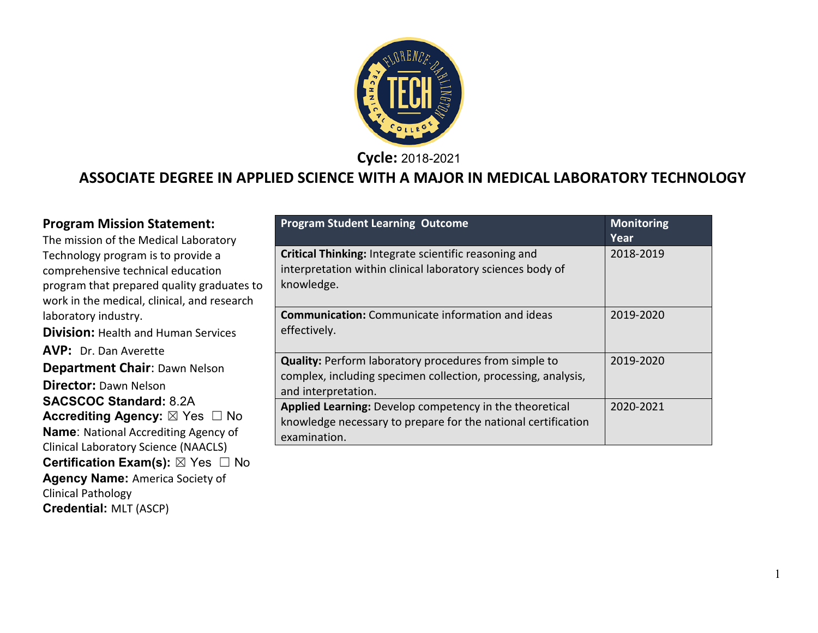

**Cycle:** 2018-2021

# **ASSOCIATE DEGREE IN APPLIED SCIENCE WITH A MAJOR IN MEDICAL LABORATORY TECHNOLOGY**

| <b>Program Mission Statement:</b><br>The mission of the Medical Laboratory                | <b>Program Student Learning Outcome</b>                                                                             | <b>Monitoring</b><br>Year |
|-------------------------------------------------------------------------------------------|---------------------------------------------------------------------------------------------------------------------|---------------------------|
| Technology program is to provide a<br>comprehensive technical education                   | Critical Thinking: Integrate scientific reasoning and<br>interpretation within clinical laboratory sciences body of | 2018-2019                 |
| program that prepared quality graduates to<br>work in the medical, clinical, and research | knowledge.                                                                                                          |                           |
| laboratory industry.                                                                      | <b>Communication:</b> Communicate information and ideas                                                             | 2019-2020                 |
| <b>Division: Health and Human Services</b>                                                | effectively.                                                                                                        |                           |
| <b>AVP:</b> Dr. Dan Averette                                                              |                                                                                                                     |                           |
| Department Chair: Dawn Nelson                                                             | <b>Quality:</b> Perform laboratory procedures from simple to                                                        | 2019-2020                 |
| <b>Director: Dawn Nelson</b>                                                              | complex, including specimen collection, processing, analysis,<br>and interpretation.                                |                           |
| <b>SACSCOC Standard: 8.2A</b>                                                             | Applied Learning: Develop competency in the theoretical                                                             | 2020-2021                 |
| <b>Accrediting Agency:</b> $\boxtimes$ Yes $\Box$ No                                      | knowledge necessary to prepare for the national certification                                                       |                           |
| <b>Name:</b> National Accrediting Agency of                                               | examination.                                                                                                        |                           |
| <b>Clinical Laboratory Science (NAACLS)</b>                                               |                                                                                                                     |                           |
| <b>Certification Exam(s):</b> $\boxtimes$ Yes $\Box$ No                                   |                                                                                                                     |                           |
| <b>Agency Name: America Society of</b>                                                    |                                                                                                                     |                           |
| <b>Clinical Pathology</b>                                                                 |                                                                                                                     |                           |

**Credential:** MLT (ASCP)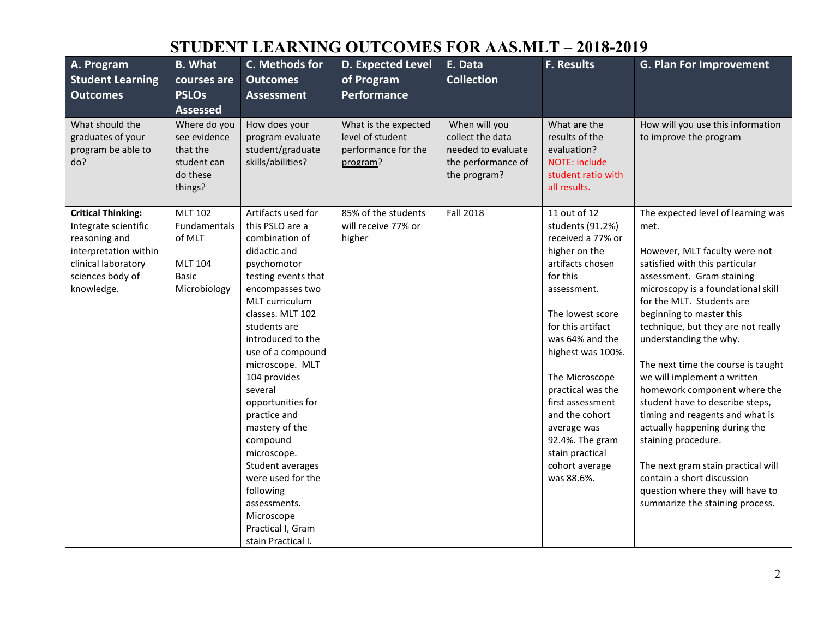# **STUDENT LEARNING OUTCOMES FOR AAS.MLT – 2018-2019**

| A. Program<br><b>Student Learning</b><br><b>Outcomes</b>                                                                                             | <b>B.</b> What<br>courses are<br><b>PSLOS</b><br><b>Assessed</b>                           | C. Methods for<br><b>Outcomes</b><br><b>Assessment</b>                                                                                                                                                                                                                                                                                                                                                                                                                                          | <b>D. Expected Level</b><br>of Program<br>Performance                       | E. Data<br><b>Collection</b>                                                                  | <b>F. Results</b>                                                                                                                                                                                                                                                                                                                                                        | <b>G. Plan For Improvement</b>                                                                                                                                                                                                                                                                                                                                                                                                                                                                                                                                                                                                                                                          |
|------------------------------------------------------------------------------------------------------------------------------------------------------|--------------------------------------------------------------------------------------------|-------------------------------------------------------------------------------------------------------------------------------------------------------------------------------------------------------------------------------------------------------------------------------------------------------------------------------------------------------------------------------------------------------------------------------------------------------------------------------------------------|-----------------------------------------------------------------------------|-----------------------------------------------------------------------------------------------|--------------------------------------------------------------------------------------------------------------------------------------------------------------------------------------------------------------------------------------------------------------------------------------------------------------------------------------------------------------------------|-----------------------------------------------------------------------------------------------------------------------------------------------------------------------------------------------------------------------------------------------------------------------------------------------------------------------------------------------------------------------------------------------------------------------------------------------------------------------------------------------------------------------------------------------------------------------------------------------------------------------------------------------------------------------------------------|
| What should the<br>graduates of your<br>program be able to<br>do?                                                                                    | Where do you<br>see evidence<br>that the<br>student can<br>do these<br>things?             | How does your<br>program evaluate<br>student/graduate<br>skills/abilities?                                                                                                                                                                                                                                                                                                                                                                                                                      | What is the expected<br>level of student<br>performance for the<br>program? | When will you<br>collect the data<br>needed to evaluate<br>the performance of<br>the program? | What are the<br>results of the<br>evaluation?<br><b>NOTE: include</b><br>student ratio with<br>all results.                                                                                                                                                                                                                                                              | How will you use this information<br>to improve the program                                                                                                                                                                                                                                                                                                                                                                                                                                                                                                                                                                                                                             |
| <b>Critical Thinking:</b><br>Integrate scientific<br>reasoning and<br>interpretation within<br>clinical laboratory<br>sciences body of<br>knowledge. | <b>MLT 102</b><br>Fundamentals<br>of MLT<br><b>MLT 104</b><br><b>Basic</b><br>Microbiology | Artifacts used for<br>this PSLO are a<br>combination of<br>didactic and<br>psychomotor<br>testing events that<br>encompasses two<br>MLT curriculum<br>classes. MLT 102<br>students are<br>introduced to the<br>use of a compound<br>microscope. MLT<br>104 provides<br>several<br>opportunities for<br>practice and<br>mastery of the<br>compound<br>microscope.<br>Student averages<br>were used for the<br>following<br>assessments.<br>Microscope<br>Practical I, Gram<br>stain Practical I. | 85% of the students<br>will receive 77% or<br>higher                        | <b>Fall 2018</b>                                                                              | 11 out of 12<br>students (91.2%)<br>received a 77% or<br>higher on the<br>artifacts chosen<br>for this<br>assessment.<br>The lowest score<br>for this artifact<br>was 64% and the<br>highest was 100%.<br>The Microscope<br>practical was the<br>first assessment<br>and the cohort<br>average was<br>92.4%. The gram<br>stain practical<br>cohort average<br>was 88.6%. | The expected level of learning was<br>met.<br>However, MLT faculty were not<br>satisfied with this particular<br>assessment. Gram staining<br>microscopy is a foundational skill<br>for the MLT. Students are<br>beginning to master this<br>technique, but they are not really<br>understanding the why.<br>The next time the course is taught<br>we will implement a written<br>homework component where the<br>student have to describe steps,<br>timing and reagents and what is<br>actually happening during the<br>staining procedure.<br>The next gram stain practical will<br>contain a short discussion<br>question where they will have to<br>summarize the staining process. |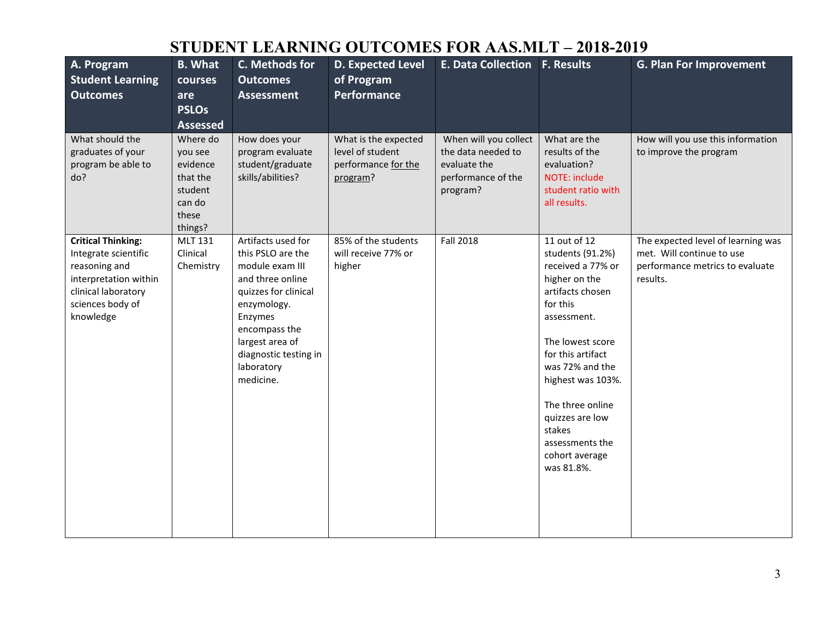#### **STUDENT LEARNING OUTCOMES FOR AAS.MLT – 2018-2019**

| A. Program<br><b>Student Learning</b><br><b>Outcomes</b>                                                                                            | <b>B.</b> What<br>courses<br>are<br><b>PSLOs</b><br><b>Assessed</b>                  | C. Methods for<br><b>Outcomes</b><br><b>Assessment</b>                                                                                                                                                                   | <b>D. Expected Level</b><br>of Program<br>Performance                       | E. Data Collection F. Results                                                                 |                                                                                                                                                                                                                                                                                                            | <b>G. Plan For Improvement</b>                                                                                 |
|-----------------------------------------------------------------------------------------------------------------------------------------------------|--------------------------------------------------------------------------------------|--------------------------------------------------------------------------------------------------------------------------------------------------------------------------------------------------------------------------|-----------------------------------------------------------------------------|-----------------------------------------------------------------------------------------------|------------------------------------------------------------------------------------------------------------------------------------------------------------------------------------------------------------------------------------------------------------------------------------------------------------|----------------------------------------------------------------------------------------------------------------|
| What should the<br>graduates of your<br>program be able to<br>do?                                                                                   | Where do<br>you see<br>evidence<br>that the<br>student<br>can do<br>these<br>things? | How does your<br>program evaluate<br>student/graduate<br>skills/abilities?                                                                                                                                               | What is the expected<br>level of student<br>performance for the<br>program? | When will you collect<br>the data needed to<br>evaluate the<br>performance of the<br>program? | What are the<br>results of the<br>evaluation?<br>NOTE: include<br>student ratio with<br>all results.                                                                                                                                                                                                       | How will you use this information<br>to improve the program                                                    |
| <b>Critical Thinking:</b><br>Integrate scientific<br>reasoning and<br>interpretation within<br>clinical laboratory<br>sciences body of<br>knowledge | <b>MLT 131</b><br>Clinical<br>Chemistry                                              | Artifacts used for<br>this PSLO are the<br>module exam III<br>and three online<br>quizzes for clinical<br>enzymology.<br>Enzymes<br>encompass the<br>largest area of<br>diagnostic testing in<br>laboratory<br>medicine. | 85% of the students<br>will receive 77% or<br>higher                        | <b>Fall 2018</b>                                                                              | 11 out of 12<br>students (91.2%)<br>received a 77% or<br>higher on the<br>artifacts chosen<br>for this<br>assessment.<br>The lowest score<br>for this artifact<br>was 72% and the<br>highest was 103%.<br>The three online<br>quizzes are low<br>stakes<br>assessments the<br>cohort average<br>was 81.8%. | The expected level of learning was<br>met. Will continue to use<br>performance metrics to evaluate<br>results. |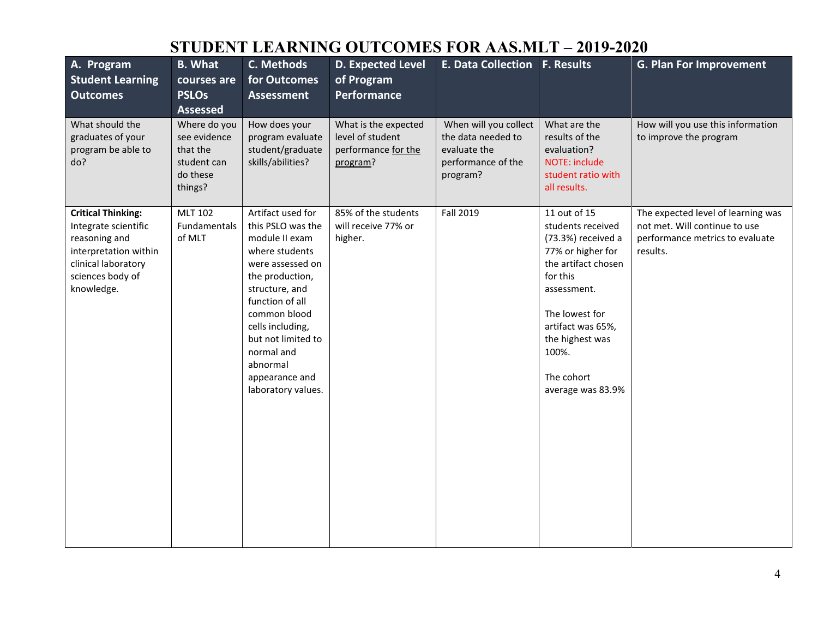# **STUDENT LEARNING OUTCOMES FOR AAS.MLT – 2019-2020**

| A. Program<br><b>Student Learning</b><br><b>Outcomes</b>                                                                                             | <b>B.</b> What<br>courses are<br><b>PSLOs</b><br><b>Assessed</b>               | C. Methods<br>for Outcomes<br><b>Assessment</b>                                                                                                                                                                                                                                    | <b>D. Expected Level</b><br>of Program<br>Performance                       | E. Data Collection F. Results                                                                 |                                                                                                                                                                                                                                      | <b>G. Plan For Improvement</b>                                                                                     |
|------------------------------------------------------------------------------------------------------------------------------------------------------|--------------------------------------------------------------------------------|------------------------------------------------------------------------------------------------------------------------------------------------------------------------------------------------------------------------------------------------------------------------------------|-----------------------------------------------------------------------------|-----------------------------------------------------------------------------------------------|--------------------------------------------------------------------------------------------------------------------------------------------------------------------------------------------------------------------------------------|--------------------------------------------------------------------------------------------------------------------|
| What should the<br>graduates of your<br>program be able to<br>do?                                                                                    | Where do you<br>see evidence<br>that the<br>student can<br>do these<br>things? | How does your<br>program evaluate<br>student/graduate<br>skills/abilities?                                                                                                                                                                                                         | What is the expected<br>level of student<br>performance for the<br>program? | When will you collect<br>the data needed to<br>evaluate the<br>performance of the<br>program? | What are the<br>results of the<br>evaluation?<br>NOTE: include<br>student ratio with<br>all results.                                                                                                                                 | How will you use this information<br>to improve the program                                                        |
| <b>Critical Thinking:</b><br>Integrate scientific<br>reasoning and<br>interpretation within<br>clinical laboratory<br>sciences body of<br>knowledge. | <b>MLT 102</b><br>Fundamentals<br>of MLT                                       | Artifact used for<br>this PSLO was the<br>module II exam<br>where students<br>were assessed on<br>the production,<br>structure, and<br>function of all<br>common blood<br>cells including,<br>but not limited to<br>normal and<br>abnormal<br>appearance and<br>laboratory values. | 85% of the students<br>will receive 77% or<br>higher.                       | Fall 2019                                                                                     | 11 out of 15<br>students received<br>(73.3%) received a<br>77% or higher for<br>the artifact chosen<br>for this<br>assessment.<br>The lowest for<br>artifact was 65%,<br>the highest was<br>100%.<br>The cohort<br>average was 83.9% | The expected level of learning was<br>not met. Will continue to use<br>performance metrics to evaluate<br>results. |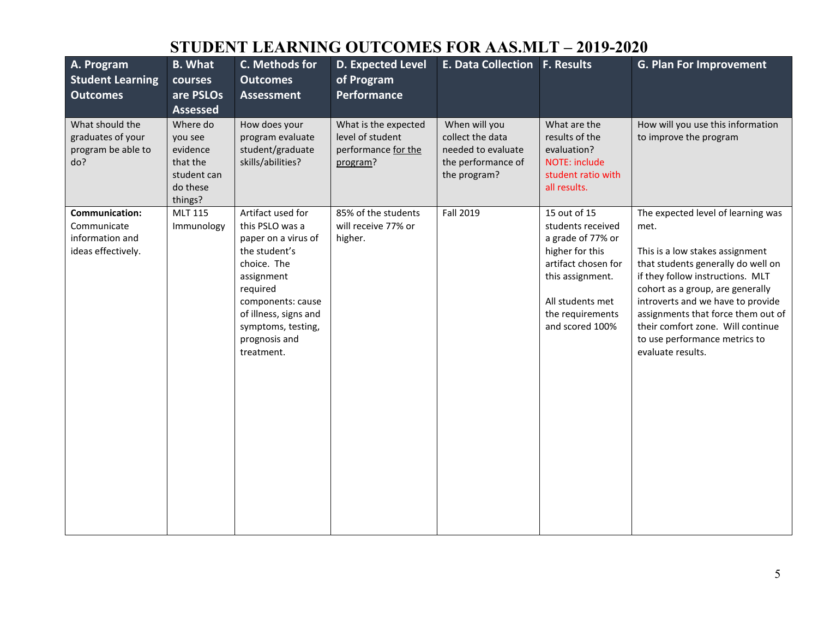# **STUDENT LEARNING OUTCOMES FOR AAS.MLT – 2019-2020**

| A. Program<br><b>Student Learning</b><br><b>Outcomes</b>                      | <b>B.</b> What<br>courses<br>are PSLOs<br><b>Assessed</b>                         | C. Methods for<br><b>Outcomes</b><br><b>Assessment</b>                                                                                                                                                                   | <b>D. Expected Level</b><br>of Program<br><b>Performance</b>                | E. Data Collection   F. Results                                                               |                                                                                                                                                                                 | <b>G. Plan For Improvement</b>                                                                                                                                                                                                                                                                                                                                    |
|-------------------------------------------------------------------------------|-----------------------------------------------------------------------------------|--------------------------------------------------------------------------------------------------------------------------------------------------------------------------------------------------------------------------|-----------------------------------------------------------------------------|-----------------------------------------------------------------------------------------------|---------------------------------------------------------------------------------------------------------------------------------------------------------------------------------|-------------------------------------------------------------------------------------------------------------------------------------------------------------------------------------------------------------------------------------------------------------------------------------------------------------------------------------------------------------------|
| What should the<br>graduates of your<br>program be able to<br>do?             | Where do<br>you see<br>evidence<br>that the<br>student can<br>do these<br>things? | How does your<br>program evaluate<br>student/graduate<br>skills/abilities?                                                                                                                                               | What is the expected<br>level of student<br>performance for the<br>program? | When will you<br>collect the data<br>needed to evaluate<br>the performance of<br>the program? | What are the<br>results of the<br>evaluation?<br>NOTE: include<br>student ratio with<br>all results.                                                                            | How will you use this information<br>to improve the program                                                                                                                                                                                                                                                                                                       |
| <b>Communication:</b><br>Communicate<br>information and<br>ideas effectively. | <b>MLT 115</b><br>Immunology                                                      | Artifact used for<br>this PSLO was a<br>paper on a virus of<br>the student's<br>choice. The<br>assignment<br>required<br>components: cause<br>of illness, signs and<br>symptoms, testing,<br>prognosis and<br>treatment. | 85% of the students<br>will receive 77% or<br>higher.                       | Fall 2019                                                                                     | 15 out of 15<br>students received<br>a grade of 77% or<br>higher for this<br>artifact chosen for<br>this assignment.<br>All students met<br>the requirements<br>and scored 100% | The expected level of learning was<br>met.<br>This is a low stakes assignment<br>that students generally do well on<br>if they follow instructions. MLT<br>cohort as a group, are generally<br>introverts and we have to provide<br>assignments that force them out of<br>their comfort zone. Will continue<br>to use performance metrics to<br>evaluate results. |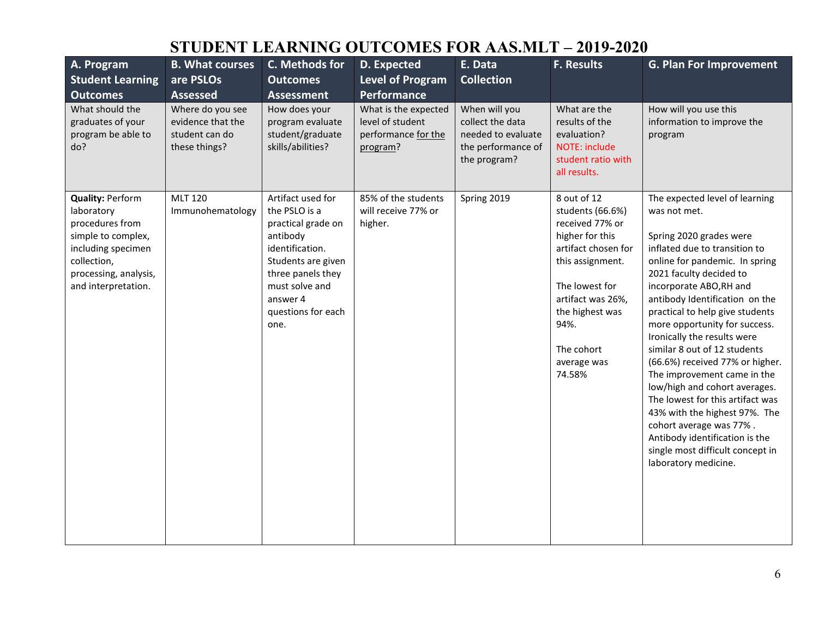# **STUDENT LEARNING OUTCOMES FOR AAS.MLT – 2019-2020**

| A. Program<br><b>Student Learning</b><br><b>Outcomes</b>                                                                                                            | <b>B. What courses</b><br>are PSLOs<br><b>Assessed</b>                   | C. Methods for<br><b>Outcomes</b><br><b>Assessment</b>                                                                                                                                         | D. Expected<br><b>Level of Program</b><br><b>Performance</b>                | E. Data<br><b>Collection</b>                                                                  | <b>F. Results</b>                                                                                                                                                                                                         | <b>G. Plan For Improvement</b>                                                                                                                                                                                                                                                                                                                                                                                                                                                                                                                                                                                                                                           |
|---------------------------------------------------------------------------------------------------------------------------------------------------------------------|--------------------------------------------------------------------------|------------------------------------------------------------------------------------------------------------------------------------------------------------------------------------------------|-----------------------------------------------------------------------------|-----------------------------------------------------------------------------------------------|---------------------------------------------------------------------------------------------------------------------------------------------------------------------------------------------------------------------------|--------------------------------------------------------------------------------------------------------------------------------------------------------------------------------------------------------------------------------------------------------------------------------------------------------------------------------------------------------------------------------------------------------------------------------------------------------------------------------------------------------------------------------------------------------------------------------------------------------------------------------------------------------------------------|
| What should the<br>graduates of your<br>program be able to<br>do?                                                                                                   | Where do you see<br>evidence that the<br>student can do<br>these things? | How does your<br>program evaluate<br>student/graduate<br>skills/abilities?                                                                                                                     | What is the expected<br>level of student<br>performance for the<br>program? | When will you<br>collect the data<br>needed to evaluate<br>the performance of<br>the program? | What are the<br>results of the<br>evaluation?<br><b>NOTE: include</b><br>student ratio with<br>all results.                                                                                                               | How will you use this<br>information to improve the<br>program                                                                                                                                                                                                                                                                                                                                                                                                                                                                                                                                                                                                           |
| <b>Quality: Perform</b><br>laboratory<br>procedures from<br>simple to complex,<br>including specimen<br>collection,<br>processing, analysis,<br>and interpretation. | <b>MLT 120</b><br>Immunohematology                                       | Artifact used for<br>the PSLO is a<br>practical grade on<br>antibody<br>identification.<br>Students are given<br>three panels they<br>must solve and<br>answer 4<br>questions for each<br>one. | 85% of the students<br>will receive 77% or<br>higher.                       | Spring 2019                                                                                   | 8 out of 12<br>students (66.6%)<br>received 77% or<br>higher for this<br>artifact chosen for<br>this assignment.<br>The lowest for<br>artifact was 26%,<br>the highest was<br>94%.<br>The cohort<br>average was<br>74.58% | The expected level of learning<br>was not met.<br>Spring 2020 grades were<br>inflated due to transition to<br>online for pandemic. In spring<br>2021 faculty decided to<br>incorporate ABO, RH and<br>antibody Identification on the<br>practical to help give students<br>more opportunity for success.<br>Ironically the results were<br>similar 8 out of 12 students<br>(66.6%) received 77% or higher.<br>The improvement came in the<br>low/high and cohort averages.<br>The lowest for this artifact was<br>43% with the highest 97%. The<br>cohort average was 77%.<br>Antibody identification is the<br>single most difficult concept in<br>laboratory medicine. |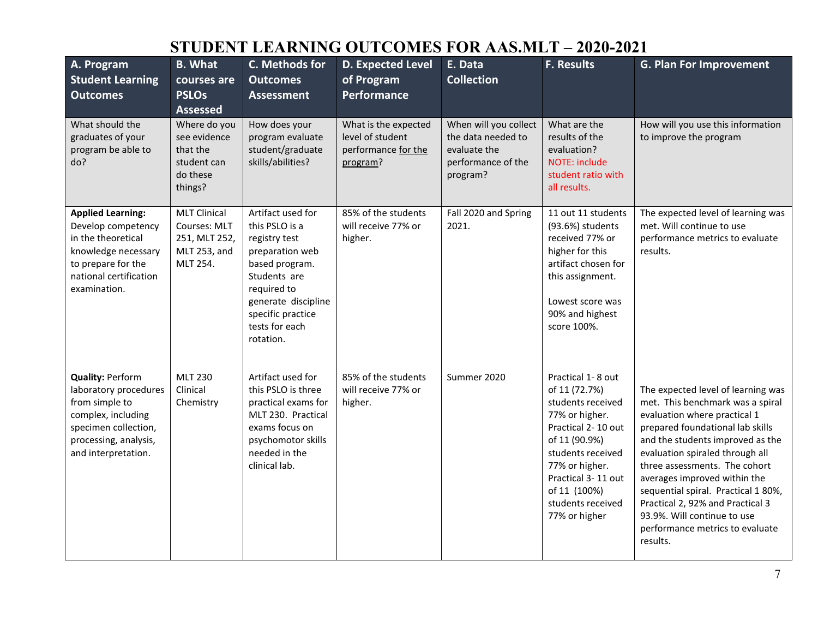# **STUDENT LEARNING OUTCOMES FOR AAS.MLT – 2020-2021**

| A. Program<br><b>Student Learning</b><br><b>Outcomes</b>                                                                                                         | <b>B.</b> What<br>courses are<br><b>PSLOs</b><br><b>Assessed</b>                 | C. Methods for<br><b>Outcomes</b><br><b>Assessment</b>                                                                                                                                              | <b>D. Expected Level</b><br>of Program<br><b>Performance</b>                | E. Data<br><b>Collection</b>                                                                  | <b>F. Results</b>                                                                                                                                                                                                                   | <b>G. Plan For Improvement</b>                                                                                                                                                                                                                                                                                                                                                                                                              |
|------------------------------------------------------------------------------------------------------------------------------------------------------------------|----------------------------------------------------------------------------------|-----------------------------------------------------------------------------------------------------------------------------------------------------------------------------------------------------|-----------------------------------------------------------------------------|-----------------------------------------------------------------------------------------------|-------------------------------------------------------------------------------------------------------------------------------------------------------------------------------------------------------------------------------------|---------------------------------------------------------------------------------------------------------------------------------------------------------------------------------------------------------------------------------------------------------------------------------------------------------------------------------------------------------------------------------------------------------------------------------------------|
| What should the<br>graduates of your<br>program be able to<br>do?                                                                                                | Where do you<br>see evidence<br>that the<br>student can<br>do these<br>things?   | How does your<br>program evaluate<br>student/graduate<br>skills/abilities?                                                                                                                          | What is the expected<br>level of student<br>performance for the<br>program? | When will you collect<br>the data needed to<br>evaluate the<br>performance of the<br>program? | What are the<br>results of the<br>evaluation?<br>NOTE: include<br>student ratio with<br>all results.                                                                                                                                | How will you use this information<br>to improve the program                                                                                                                                                                                                                                                                                                                                                                                 |
| <b>Applied Learning:</b><br>Develop competency<br>in the theoretical<br>knowledge necessary<br>to prepare for the<br>national certification<br>examination.      | <b>MLT Clinical</b><br>Courses: MLT<br>251, MLT 252,<br>MLT 253, and<br>MLT 254. | Artifact used for<br>this PSLO is a<br>registry test<br>preparation web<br>based program.<br>Students are<br>required to<br>generate discipline<br>specific practice<br>tests for each<br>rotation. | 85% of the students<br>will receive 77% or<br>higher.                       | Fall 2020 and Spring<br>2021.                                                                 | 11 out 11 students<br>(93.6%) students<br>received 77% or<br>higher for this<br>artifact chosen for<br>this assignment.<br>Lowest score was<br>90% and highest<br>score 100%.                                                       | The expected level of learning was<br>met. Will continue to use<br>performance metrics to evaluate<br>results.                                                                                                                                                                                                                                                                                                                              |
| <b>Quality: Perform</b><br>laboratory procedures<br>from simple to<br>complex, including<br>specimen collection,<br>processing, analysis,<br>and interpretation. | <b>MLT 230</b><br>Clinical<br>Chemistry                                          | Artifact used for<br>this PSLO is three<br>practical exams for<br>MLT 230. Practical<br>exams focus on<br>psychomotor skills<br>needed in the<br>clinical lab.                                      | 85% of the students<br>will receive 77% or<br>higher.                       | Summer 2020                                                                                   | Practical 1-8 out<br>of 11 (72.7%)<br>students received<br>77% or higher.<br>Practical 2-10 out<br>of 11 (90.9%)<br>students received<br>77% or higher.<br>Practical 3-11 out<br>of 11 (100%)<br>students received<br>77% or higher | The expected level of learning was<br>met. This benchmark was a spiral<br>evaluation where practical 1<br>prepared foundational lab skills<br>and the students improved as the<br>evaluation spiraled through all<br>three assessments. The cohort<br>averages improved within the<br>sequential spiral. Practical 1 80%,<br>Practical 2, 92% and Practical 3<br>93.9%. Will continue to use<br>performance metrics to evaluate<br>results. |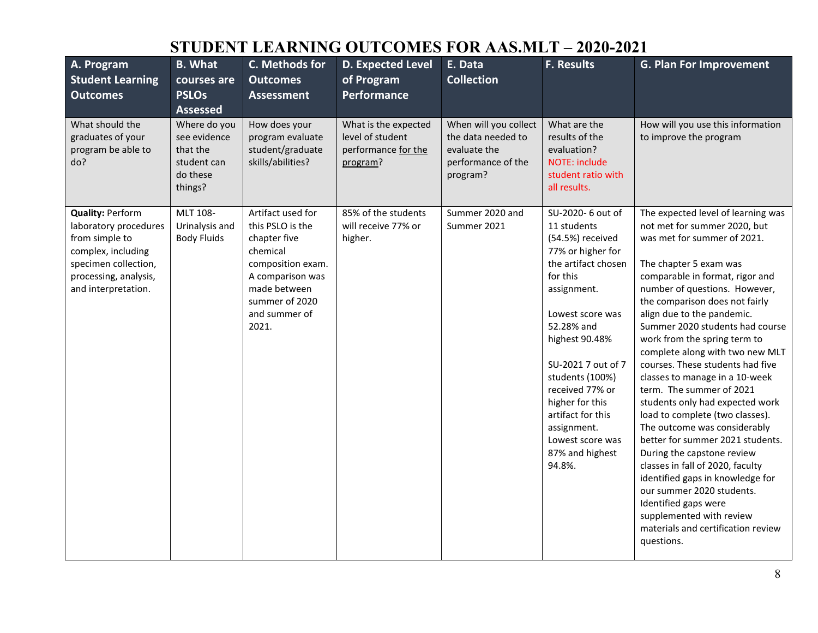# **STUDENT LEARNING OUTCOMES FOR AAS.MLT – 2020-2021**

| A. Program<br><b>Student Learning</b><br><b>Outcomes</b>                                                                                                         | <b>B.</b> What<br>courses are<br><b>PSLOs</b><br><b>Assessed</b>               | C. Methods for<br><b>Outcomes</b><br><b>Assessment</b>                                                                                                                 | <b>D. Expected Level</b><br>of Program<br>Performance                       | E. Data<br><b>Collection</b>                                                                  | <b>F. Results</b>                                                                                                                                                                                                                                                                                                                                  | <b>G. Plan For Improvement</b>                                                                                                                                                                                                                                                                                                                                                                                                                                                                                                                                                                                                                                                                                                                                                                                                                               |
|------------------------------------------------------------------------------------------------------------------------------------------------------------------|--------------------------------------------------------------------------------|------------------------------------------------------------------------------------------------------------------------------------------------------------------------|-----------------------------------------------------------------------------|-----------------------------------------------------------------------------------------------|----------------------------------------------------------------------------------------------------------------------------------------------------------------------------------------------------------------------------------------------------------------------------------------------------------------------------------------------------|--------------------------------------------------------------------------------------------------------------------------------------------------------------------------------------------------------------------------------------------------------------------------------------------------------------------------------------------------------------------------------------------------------------------------------------------------------------------------------------------------------------------------------------------------------------------------------------------------------------------------------------------------------------------------------------------------------------------------------------------------------------------------------------------------------------------------------------------------------------|
| What should the<br>graduates of your<br>program be able to<br>do?                                                                                                | Where do you<br>see evidence<br>that the<br>student can<br>do these<br>things? | How does your<br>program evaluate<br>student/graduate<br>skills/abilities?                                                                                             | What is the expected<br>level of student<br>performance for the<br>program? | When will you collect<br>the data needed to<br>evaluate the<br>performance of the<br>program? | What are the<br>results of the<br>evaluation?<br>NOTE: include<br>student ratio with<br>all results.                                                                                                                                                                                                                                               | How will you use this information<br>to improve the program                                                                                                                                                                                                                                                                                                                                                                                                                                                                                                                                                                                                                                                                                                                                                                                                  |
| <b>Quality: Perform</b><br>laboratory procedures<br>from simple to<br>complex, including<br>specimen collection,<br>processing, analysis,<br>and interpretation. | MLT 108-<br>Urinalysis and<br><b>Body Fluids</b>                               | Artifact used for<br>this PSLO is the<br>chapter five<br>chemical<br>composition exam.<br>A comparison was<br>made between<br>summer of 2020<br>and summer of<br>2021. | 85% of the students<br>will receive 77% or<br>higher.                       | Summer 2020 and<br>Summer 2021                                                                | SU-2020-6 out of<br>11 students<br>(54.5%) received<br>77% or higher for<br>the artifact chosen<br>for this<br>assignment.<br>Lowest score was<br>52.28% and<br>highest 90.48%<br>SU-2021 7 out of 7<br>students (100%)<br>received 77% or<br>higher for this<br>artifact for this<br>assignment.<br>Lowest score was<br>87% and highest<br>94.8%. | The expected level of learning was<br>not met for summer 2020, but<br>was met for summer of 2021.<br>The chapter 5 exam was<br>comparable in format, rigor and<br>number of questions. However,<br>the comparison does not fairly<br>align due to the pandemic.<br>Summer 2020 students had course<br>work from the spring term to<br>complete along with two new MLT<br>courses. These students had five<br>classes to manage in a 10-week<br>term. The summer of 2021<br>students only had expected work<br>load to complete (two classes).<br>The outcome was considerably<br>better for summer 2021 students.<br>During the capstone review<br>classes in fall of 2020, faculty<br>identified gaps in knowledge for<br>our summer 2020 students.<br>Identified gaps were<br>supplemented with review<br>materials and certification review<br>questions. |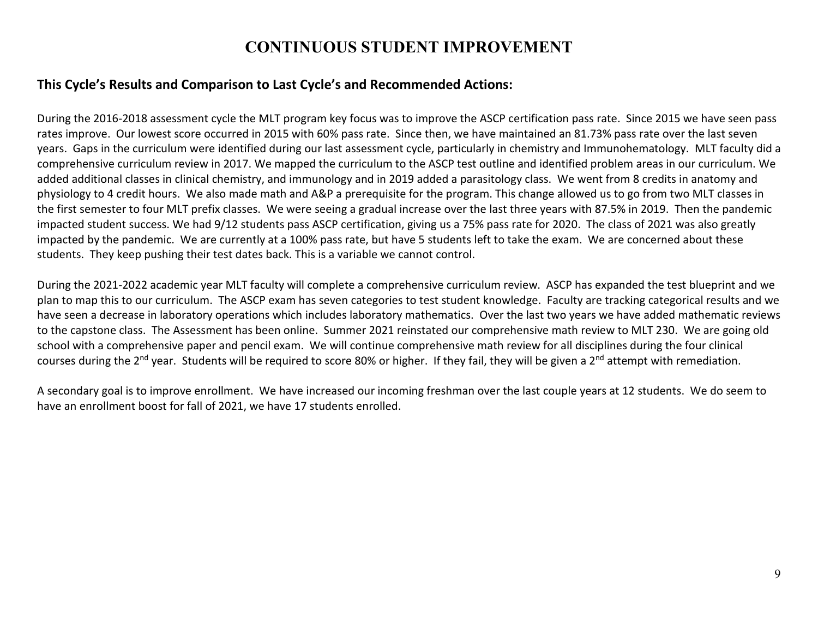#### **CONTINUOUS STUDENT IMPROVEMENT**

#### **This Cycle's Results and Comparison to Last Cycle's and Recommended Actions:**

During the 2016-2018 assessment cycle the MLT program key focus was to improve the ASCP certification pass rate. Since 2015 we have seen pass rates improve. Our lowest score occurred in 2015 with 60% pass rate. Since then, we have maintained an 81.73% pass rate over the last seven years. Gaps in the curriculum were identified during our last assessment cycle, particularly in chemistry and Immunohematology. MLT faculty did a comprehensive curriculum review in 2017. We mapped the curriculum to the ASCP test outline and identified problem areas in our curriculum. We added additional classes in clinical chemistry, and immunology and in 2019 added a parasitology class. We went from 8 credits in anatomy and physiology to 4 credit hours. We also made math and A&P a prerequisite for the program. This change allowed us to go from two MLT classes in the first semester to four MLT prefix classes. We were seeing a gradual increase over the last three years with 87.5% in 2019. Then the pandemic impacted student success. We had 9/12 students pass ASCP certification, giving us a 75% pass rate for 2020. The class of 2021 was also greatly impacted by the pandemic. We are currently at a 100% pass rate, but have 5 students left to take the exam. We are concerned about these students. They keep pushing their test dates back. This is a variable we cannot control.

During the 2021-2022 academic year MLT faculty will complete a comprehensive curriculum review. ASCP has expanded the test blueprint and we plan to map this to our curriculum. The ASCP exam has seven categories to test student knowledge. Faculty are tracking categorical results and we have seen a decrease in laboratory operations which includes laboratory mathematics. Over the last two years we have added mathematic reviews to the capstone class. The Assessment has been online. Summer 2021 reinstated our comprehensive math review to MLT 230. We are going old school with a comprehensive paper and pencil exam. We will continue comprehensive math review for all disciplines during the four clinical courses during the 2<sup>nd</sup> year. Students will be required to score 80% or higher. If they fail, they will be given a 2<sup>nd</sup> attempt with remediation.

A secondary goal is to improve enrollment. We have increased our incoming freshman over the last couple years at 12 students. We do seem to have an enrollment boost for fall of 2021, we have 17 students enrolled.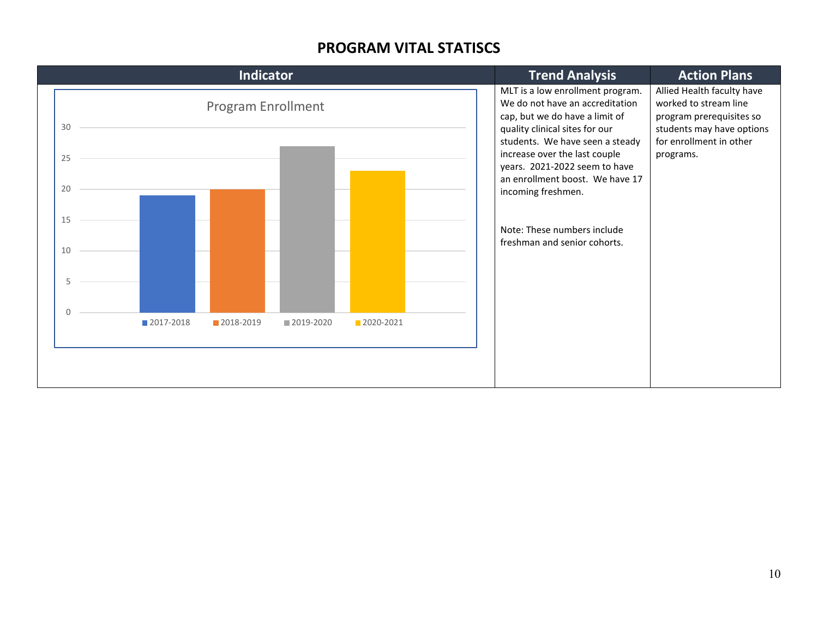#### **PROGRAM VITAL STATISCS**

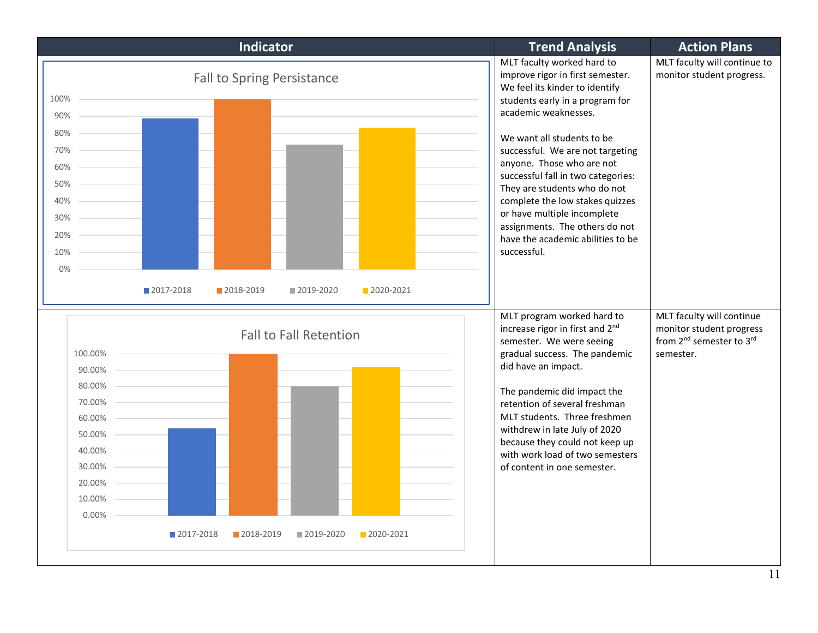| <b>Indicator</b>                                                                                           |             |                                   |                                              |             |  | <b>Trend Analysis</b>                                                                                                                                                                                                                                                                                                                                                                                                                                                                    | <b>Action Plans</b>                                                                                                    |
|------------------------------------------------------------------------------------------------------------|-------------|-----------------------------------|----------------------------------------------|-------------|--|------------------------------------------------------------------------------------------------------------------------------------------------------------------------------------------------------------------------------------------------------------------------------------------------------------------------------------------------------------------------------------------------------------------------------------------------------------------------------------------|------------------------------------------------------------------------------------------------------------------------|
| 100%<br>90%<br>80%<br>70%<br>60%<br>50%<br>40%<br>30%<br>20%<br>10%                                        |             | <b>Fall to Spring Persistance</b> |                                              |             |  | MLT faculty worked hard to<br>improve rigor in first semester.<br>We feel its kinder to identify<br>students early in a program for<br>academic weaknesses.<br>We want all students to be<br>successful. We are not targeting<br>anyone. Those who are not<br>successful fall in two categories:<br>They are students who do not<br>complete the low stakes quizzes<br>or have multiple incomplete<br>assignments. The others do not<br>have the academic abilities to be<br>successful. | MLT faculty will continue to<br>monitor student progress.                                                              |
| 0%                                                                                                         | ■ 2017-2018 | 2018-2019                         | ■ 2019-2020                                  | 2020-2021   |  |                                                                                                                                                                                                                                                                                                                                                                                                                                                                                          |                                                                                                                        |
| 100.00%<br>90.00%<br>80.00%<br>70.00%<br>60.00%<br>50.00%<br>40.00%<br>30.00%<br>20.00%<br>10.00%<br>0.00% | 2017-2018   | 2018-2019                         | <b>Fall to Fall Retention</b><br>■ 2019-2020 | ■ 2020-2021 |  | MLT program worked hard to<br>increase rigor in first and 2nd<br>semester. We were seeing<br>gradual success. The pandemic<br>did have an impact.<br>The pandemic did impact the<br>retention of several freshman<br>MLT students. Three freshmen<br>withdrew in late July of 2020<br>because they could not keep up<br>with work load of two semesters<br>of content in one semester.                                                                                                   | MLT faculty will continue<br>monitor student progress<br>from 2 <sup>nd</sup> semester to 3 <sup>rd</sup><br>semester. |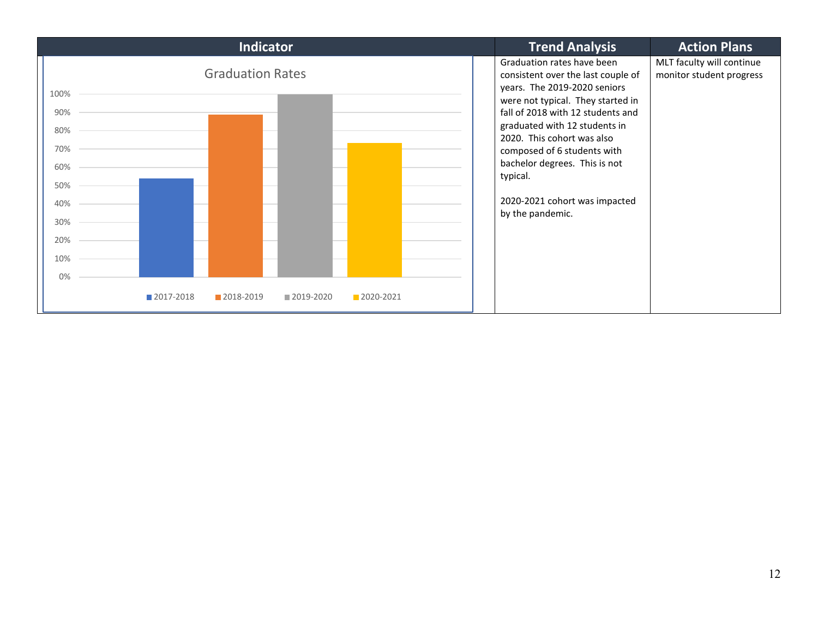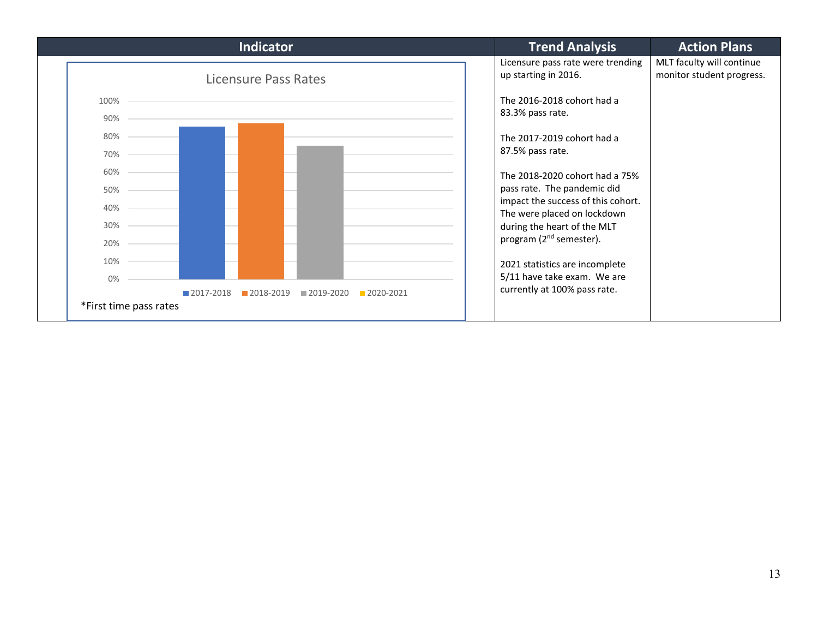|                        | Indicator                                        | <b>Trend Analysis</b>                                             | <b>Action Plans</b>                                    |
|------------------------|--------------------------------------------------|-------------------------------------------------------------------|--------------------------------------------------------|
|                        | Licensure Pass Rates                             | Licensure pass rate were trending<br>up starting in 2016.         | MLT faculty will continue<br>monitor student progress. |
| 100%                   |                                                  | The 2016-2018 cohort had a                                        |                                                        |
| 90%                    |                                                  | 83.3% pass rate.                                                  |                                                        |
| 80%                    |                                                  | The 2017-2019 cohort had a                                        |                                                        |
| 70%                    |                                                  | 87.5% pass rate.                                                  |                                                        |
| 60%                    |                                                  | The 2018-2020 cohort had a 75%                                    |                                                        |
| 50%                    |                                                  | pass rate. The pandemic did                                       |                                                        |
| 40%                    |                                                  | impact the success of this cohort.<br>The were placed on lockdown |                                                        |
| 30%                    |                                                  | during the heart of the MLT                                       |                                                        |
| 20%                    |                                                  | program (2 <sup>nd</sup> semester).                               |                                                        |
| 10%                    |                                                  | 2021 statistics are incomplete                                    |                                                        |
| 0%                     |                                                  | 5/11 have take exam. We are<br>currently at 100% pass rate.       |                                                        |
| *First time pass rates | 2017-2018<br>2018-2019<br>2020-2021<br>2019-2020 |                                                                   |                                                        |